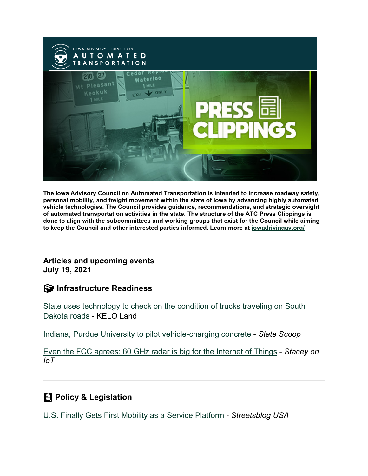

**The Iowa Advisory Council on Automated Transportation is intended to increase roadway safety, personal mobility, and freight movement within the state of Iowa by advancing highly automated vehicle technologies. The Council provides guidance, recommendations, and strategic oversight of automated transportation activities in the state. The structure of the ATC Press Clippings is done to align with the subcommittees and working groups that exist for the Council while aiming to keep the Council and other interested parties informed. Learn more at [iowadrivingav.org/](https://iowadrivingav.org/?utm_medium=email&utm_source=govdelivery)**

#### **Articles and upcoming events July 19, 2021**

### **Infrastructure Readiness**

[State uses technology to check on the condition of](https://www.keloland.com/keloland-com-original/state-uses-technology-to-check-on-the-condition-of-trucks-traveling-on-south-dakota-roads/?utm_medium=email&utm_source=govdelivery) trucks traveling on South [Dakota roads](https://www.keloland.com/keloland-com-original/state-uses-technology-to-check-on-the-condition-of-trucks-traveling-on-south-dakota-roads/?utm_medium=email&utm_source=govdelivery) - KELO Land

[Indiana, Purdue University to pilot vehicle-charging concrete](https://statescoop.com/indiana-purdue-university-pilot-vehicle-charging-concrete/?utm_medium=email&utm_source=govdelivery) - *State Scoop*

[Even the FCC agrees: 60 GHz radar is big for the Internet of Things](https://staceyoniot.com/even-the-fcc-agrees-60-ghz-radar-is-big-for-the-internet-of-things/?utm_medium=email&utm_source=govdelivery) - *Stacey on IoT*

# **Policy & Legislation**

[U.S. Finally Gets First Mobility as a Service Platform](https://usa.streetsblog.org/2021/07/09/u-s-finally-gets-first-mobility-as-a-service-platform/?utm_medium=email&utm_source=govdelivery) - *Streetsblog USA*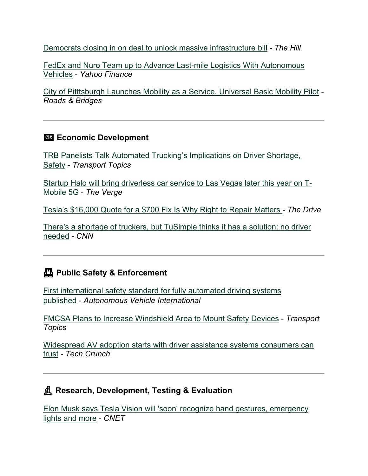Democrats closing in on [deal to unlock massive infrastructure bill](https://thehill.com/policy/transportation/562616-democrats-closing-in-on-deal-to-unlock-massive-infrastructure-bill?utm_medium=email&utm_source=govdelivery) - *The Hill*

[FedEx and Nuro Team up to Advance Last-mile Logistics With Autonomous](https://finance.yahoo.com/news/fedex-nuro-team-advance-last-175109229.html?utm_medium=email&utm_source=govdelivery)  [Vehicles](https://finance.yahoo.com/news/fedex-nuro-team-advance-last-175109229.html?utm_medium=email&utm_source=govdelivery) - *Yahoo Finance*

[City of Pitttsburgh Launches Mobility as a Service, Universal Basic Mobility Pilot](https://www.roadsbridges.com/city-pittsburgh-launches-mobility-service-universal-basic-mobility-pilot?utm_medium=email&utm_source=govdelivery) *- Roads & Bridges*

#### **Exp. Economic Development**

[TRB Panelists Talk Automated Trucking's Implications on Driver Shortage,](https://www.ttnews.com/articles/trb-panelists-talk-automated-truckings-implications-driver-shortage-safety?utm_medium=email&utm_source=govdelivery)  [Safety](https://www.ttnews.com/articles/trb-panelists-talk-automated-truckings-implications-driver-shortage-safety?utm_medium=email&utm_source=govdelivery) - *Transport Topics*

[Startup Halo will bring driverless car service to Las Vegas later this year on T-](https://www.theverge.com/2021/7/8/22568437/halo-driverless-car-tmobile-5g-las-vegas?utm_medium=email&utm_source=govdelivery)[Mobile 5G](https://www.theverge.com/2021/7/8/22568437/halo-driverless-car-tmobile-5g-las-vegas?utm_medium=email&utm_source=govdelivery) - *The Verge*

[Tesla's \\$16,000 Quote for a \\$700 Fix Is Why Right to Repair Matters](https://www.thedrive.com/news/41493/teslas-16000-quote-for-a-700-fix-is-why-right-to-repair-matters?utm_medium=email&utm_source=govdelivery) *- The Drive*

[There's a shortage of truckers, but TuSimple thinks it has a solution: no driver](https://www.cnn.com/2021/07/14/world/tusimple-autonomous-truck-spc-intl/index.html?utm_medium=email&utm_source=govdelivery)  [needed](https://www.cnn.com/2021/07/14/world/tusimple-autonomous-truck-spc-intl/index.html?utm_medium=email&utm_source=govdelivery) *- CNN*

## **Public Safety & Enforcement**

[First international safety standard for fully automated driving systems](https://www.autonomousvehicleinternational.com/news/legislation/first-international-safety-standard-for-fully-automated-driving-systems-published.html?utm_medium=email&utm_source=govdelivery)  [published](https://www.autonomousvehicleinternational.com/news/legislation/first-international-safety-standard-for-fully-automated-driving-systems-published.html?utm_medium=email&utm_source=govdelivery) - *Autonomous Vehicle International*

[FMCSA Plans to Increase Windshield Area to Mount Safety Devices](https://www.ttnews.com/articles/fmcsa-plans-increase-windshield-area-mount-safety-devices?utm_medium=email&utm_source=govdelivery) - *Transport Topics*

[Widespread AV adoption starts with driver assistance systems consumers can](https://techcrunch.com/2021/07/13/widespread-av-adoption-starts-with-driver-assistance-systems-consumers-can-trust/?utm_medium=email&utm_source=govdelivery)  [trust](https://techcrunch.com/2021/07/13/widespread-av-adoption-starts-with-driver-assistance-systems-consumers-can-trust/?utm_medium=email&utm_source=govdelivery) *- Tech Crunch*

## **Research, Development, Testing & Evaluation**

[Elon Musk says Tesla Vision will 'soon' recognize hand gestures, emergency](https://www.cnet.com/roadshow/news/elon-musk-tesla-vision-features/?utm_medium=email&utm_source=govdelivery)  [lights and more](https://www.cnet.com/roadshow/news/elon-musk-tesla-vision-features/?utm_medium=email&utm_source=govdelivery) - *CNET*